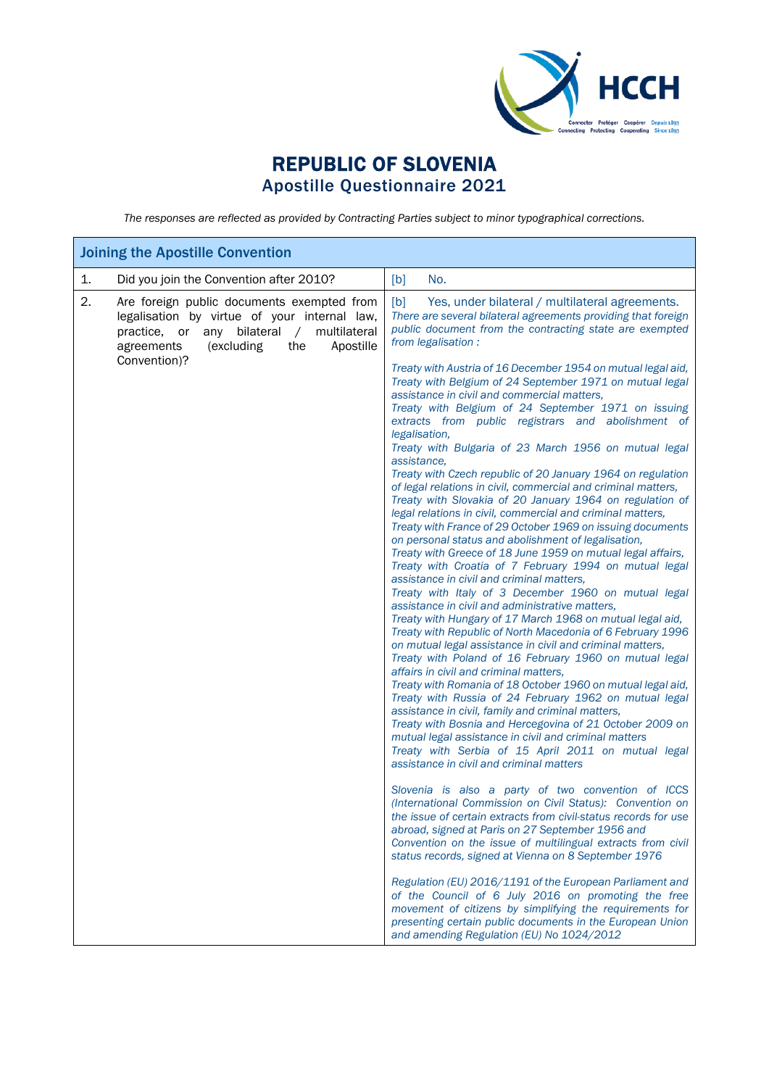

## REPUBLIC OF SLOVENIA Apostille Questionnaire 2021

*The responses are reflected as provided by Contracting Parties subject to minor typographical corrections.*

| <b>Joining the Apostille Convention</b>                                                                                                                                                                                            |                                                                                                                                                                                                                                                                                                                                                                                                                                                                                                                                                                                                                                                                                                                                                                                                                                                                                                                                                                                                                                                                                                                                                                                                                                                                                                                                                                                                                                                                                                                                                                                                                                                                                                                                                                                                                                                                                                                                                                                                                                                                                                                                                                                                        |  |
|------------------------------------------------------------------------------------------------------------------------------------------------------------------------------------------------------------------------------------|--------------------------------------------------------------------------------------------------------------------------------------------------------------------------------------------------------------------------------------------------------------------------------------------------------------------------------------------------------------------------------------------------------------------------------------------------------------------------------------------------------------------------------------------------------------------------------------------------------------------------------------------------------------------------------------------------------------------------------------------------------------------------------------------------------------------------------------------------------------------------------------------------------------------------------------------------------------------------------------------------------------------------------------------------------------------------------------------------------------------------------------------------------------------------------------------------------------------------------------------------------------------------------------------------------------------------------------------------------------------------------------------------------------------------------------------------------------------------------------------------------------------------------------------------------------------------------------------------------------------------------------------------------------------------------------------------------------------------------------------------------------------------------------------------------------------------------------------------------------------------------------------------------------------------------------------------------------------------------------------------------------------------------------------------------------------------------------------------------------------------------------------------------------------------------------------------------|--|
| Did you join the Convention after 2010?<br>1.                                                                                                                                                                                      | [b]<br>No.                                                                                                                                                                                                                                                                                                                                                                                                                                                                                                                                                                                                                                                                                                                                                                                                                                                                                                                                                                                                                                                                                                                                                                                                                                                                                                                                                                                                                                                                                                                                                                                                                                                                                                                                                                                                                                                                                                                                                                                                                                                                                                                                                                                             |  |
| 2.<br>Are foreign public documents exempted from<br>legalisation by virtue of your internal law,<br>multilateral<br>any<br>bilateral<br>practice. or<br>$\sqrt{2}$<br>Apostille<br>agreements<br>(excluding<br>the<br>Convention)? | [b]<br>Yes, under bilateral / multilateral agreements.<br>There are several bilateral agreements providing that foreign<br>public document from the contracting state are exempted<br>from legalisation :<br>Treaty with Austria of 16 December 1954 on mutual legal aid,<br>Treaty with Belgium of 24 September 1971 on mutual legal<br>assistance in civil and commercial matters.<br>Treaty with Belgium of 24 September 1971 on issuing<br>extracts from public registrars and abolishment of<br>legalisation,<br>Treaty with Bulgaria of 23 March 1956 on mutual legal<br>assistance,<br>Treaty with Czech republic of 20 January 1964 on regulation<br>of legal relations in civil, commercial and criminal matters,<br>Treaty with Slovakia of 20 January 1964 on regulation of<br>legal relations in civil, commercial and criminal matters,<br>Treaty with France of 29 October 1969 on issuing documents<br>on personal status and abolishment of legalisation,<br>Treaty with Greece of 18 June 1959 on mutual legal affairs,<br>Treaty with Croatia of 7 February 1994 on mutual legal<br>assistance in civil and criminal matters,<br>Treaty with Italy of 3 December 1960 on mutual legal<br>assistance in civil and administrative matters,<br>Treaty with Hungary of 17 March 1968 on mutual legal aid,<br>Treaty with Republic of North Macedonia of 6 February 1996<br>on mutual legal assistance in civil and criminal matters,<br>Treaty with Poland of 16 February 1960 on mutual legal<br>affairs in civil and criminal matters,<br>Treaty with Romania of 18 October 1960 on mutual legal aid,<br>Treaty with Russia of 24 February 1962 on mutual legal<br>assistance in civil, family and criminal matters,<br>Treaty with Bosnia and Hercegovina of 21 October 2009 on<br>mutual legal assistance in civil and criminal matters<br>Treaty with Serbia of 15 April 2011 on mutual legal<br>assistance in civil and criminal matters<br>Slovenia is also a party of two convention of ICCS<br>(International Commission on Civil Status): Convention on<br>the issue of certain extracts from civil-status records for use<br>abroad, signed at Paris on 27 September 1956 and |  |
|                                                                                                                                                                                                                                    | Convention on the issue of multilingual extracts from civil                                                                                                                                                                                                                                                                                                                                                                                                                                                                                                                                                                                                                                                                                                                                                                                                                                                                                                                                                                                                                                                                                                                                                                                                                                                                                                                                                                                                                                                                                                                                                                                                                                                                                                                                                                                                                                                                                                                                                                                                                                                                                                                                            |  |
|                                                                                                                                                                                                                                    | status records, signed at Vienna on 8 September 1976<br>Regulation (EU) 2016/1191 of the European Parliament and<br>of the Council of 6 July 2016 on promoting the free<br>movement of citizens by simplifying the requirements for<br>presenting certain public documents in the European Union<br>and amending Regulation (EU) No 1024/2012                                                                                                                                                                                                                                                                                                                                                                                                                                                                                                                                                                                                                                                                                                                                                                                                                                                                                                                                                                                                                                                                                                                                                                                                                                                                                                                                                                                                                                                                                                                                                                                                                                                                                                                                                                                                                                                          |  |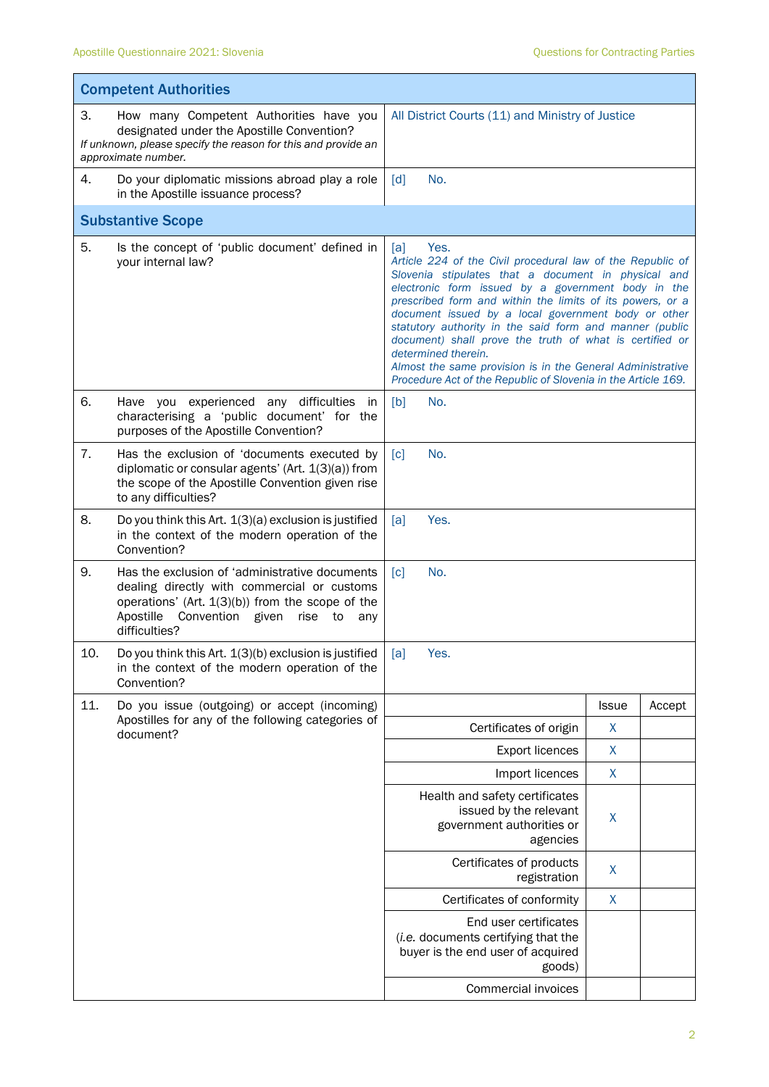$\blacksquare$ 

| <b>Competent Authorities</b> |                                                                                                                                                                                                                          |                                                                                                                                                                                                                                                                                                                                                                                                                                                                                                                                                                                        |                  |        |  |
|------------------------------|--------------------------------------------------------------------------------------------------------------------------------------------------------------------------------------------------------------------------|----------------------------------------------------------------------------------------------------------------------------------------------------------------------------------------------------------------------------------------------------------------------------------------------------------------------------------------------------------------------------------------------------------------------------------------------------------------------------------------------------------------------------------------------------------------------------------------|------------------|--------|--|
| 3.                           | How many Competent Authorities have you<br>designated under the Apostille Convention?<br>If unknown, please specify the reason for this and provide an<br>approximate number.                                            | All District Courts (11) and Ministry of Justice                                                                                                                                                                                                                                                                                                                                                                                                                                                                                                                                       |                  |        |  |
| 4.                           | Do your diplomatic missions abroad play a role<br>in the Apostille issuance process?                                                                                                                                     | $\lceil d \rceil$<br>No.                                                                                                                                                                                                                                                                                                                                                                                                                                                                                                                                                               |                  |        |  |
|                              | <b>Substantive Scope</b>                                                                                                                                                                                                 |                                                                                                                                                                                                                                                                                                                                                                                                                                                                                                                                                                                        |                  |        |  |
| 5.                           | Is the concept of 'public document' defined in<br>your internal law?                                                                                                                                                     | Yes.<br>[a]<br>Article 224 of the Civil procedural law of the Republic of<br>Slovenia stipulates that a document in physical and<br>electronic form issued by a government body in the<br>prescribed form and within the limits of its powers, or a<br>document issued by a local government body or other<br>statutory authority in the said form and manner (public<br>document) shall prove the truth of what is certified or<br>determined therein.<br>Almost the same provision is in the General Administrative<br>Procedure Act of the Republic of Slovenia in the Article 169. |                  |        |  |
| 6.                           | Have you experienced any difficulties in<br>characterising a 'public document' for the<br>purposes of the Apostille Convention?                                                                                          | [b]<br>No.                                                                                                                                                                                                                                                                                                                                                                                                                                                                                                                                                                             |                  |        |  |
| 7.                           | Has the exclusion of 'documents executed by<br>diplomatic or consular agents' (Art. $1(3)(a)$ ) from<br>the scope of the Apostille Convention given rise<br>to any difficulties?                                         | No.<br>$\lceil c \rceil$                                                                                                                                                                                                                                                                                                                                                                                                                                                                                                                                                               |                  |        |  |
| 8.                           | Do you think this Art. 1(3)(a) exclusion is justified<br>in the context of the modern operation of the<br>Convention?                                                                                                    | Yes.<br>[a]                                                                                                                                                                                                                                                                                                                                                                                                                                                                                                                                                                            |                  |        |  |
| 9.                           | Has the exclusion of 'administrative documents<br>dealing directly with commercial or customs<br>operations' (Art. 1(3)(b)) from the scope of the<br>Apostille<br>Convention given<br>rise<br>to<br>any<br>difficulties? | $\lceil c \rceil$<br>No.                                                                                                                                                                                                                                                                                                                                                                                                                                                                                                                                                               |                  |        |  |
| 10.                          | Do you think this Art. 1(3)(b) exclusion is justified<br>in the context of the modern operation of the<br>Convention?                                                                                                    | [a]<br>Yes.                                                                                                                                                                                                                                                                                                                                                                                                                                                                                                                                                                            |                  |        |  |
| 11.                          | Do you issue (outgoing) or accept (incoming)                                                                                                                                                                             |                                                                                                                                                                                                                                                                                                                                                                                                                                                                                                                                                                                        | <b>Issue</b>     | Accept |  |
|                              | Apostilles for any of the following categories of<br>document?                                                                                                                                                           | Certificates of origin                                                                                                                                                                                                                                                                                                                                                                                                                                                                                                                                                                 | X                |        |  |
|                              |                                                                                                                                                                                                                          | <b>Export licences</b>                                                                                                                                                                                                                                                                                                                                                                                                                                                                                                                                                                 | X                |        |  |
|                              |                                                                                                                                                                                                                          | Import licences                                                                                                                                                                                                                                                                                                                                                                                                                                                                                                                                                                        | $\boldsymbol{X}$ |        |  |
|                              |                                                                                                                                                                                                                          | Health and safety certificates<br>issued by the relevant<br>government authorities or<br>agencies                                                                                                                                                                                                                                                                                                                                                                                                                                                                                      | X                |        |  |
|                              |                                                                                                                                                                                                                          | Certificates of products<br>registration                                                                                                                                                                                                                                                                                                                                                                                                                                                                                                                                               | X                |        |  |
|                              |                                                                                                                                                                                                                          | Certificates of conformity                                                                                                                                                                                                                                                                                                                                                                                                                                                                                                                                                             | X                |        |  |
|                              |                                                                                                                                                                                                                          | End user certificates<br>(i.e. documents certifying that the<br>buyer is the end user of acquired<br>goods)                                                                                                                                                                                                                                                                                                                                                                                                                                                                            |                  |        |  |
|                              |                                                                                                                                                                                                                          | Commercial invoices                                                                                                                                                                                                                                                                                                                                                                                                                                                                                                                                                                    |                  |        |  |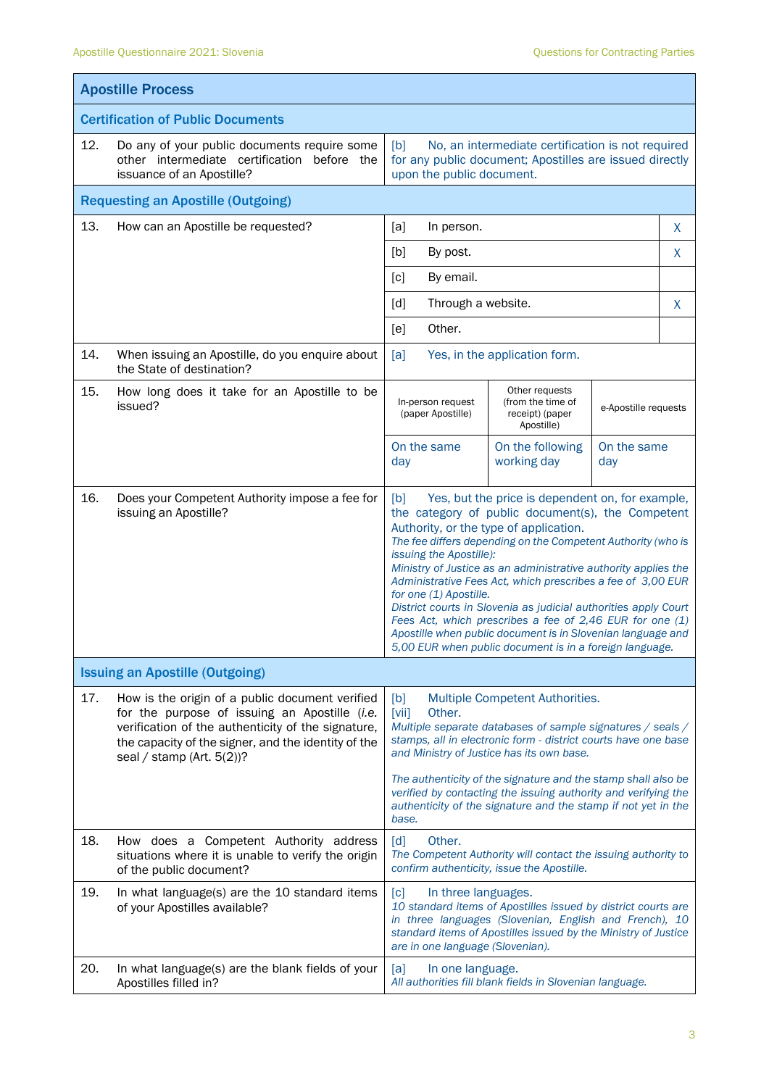| <b>Apostille Process</b>                 |                                                                                                                                                                                                                                                                              |                                                                                                                                                                                                                                                                                                                                                                                                                                                                                                                                                                                                                                                                       |                                                                                                                                                                                           |                    |   |
|------------------------------------------|------------------------------------------------------------------------------------------------------------------------------------------------------------------------------------------------------------------------------------------------------------------------------|-----------------------------------------------------------------------------------------------------------------------------------------------------------------------------------------------------------------------------------------------------------------------------------------------------------------------------------------------------------------------------------------------------------------------------------------------------------------------------------------------------------------------------------------------------------------------------------------------------------------------------------------------------------------------|-------------------------------------------------------------------------------------------------------------------------------------------------------------------------------------------|--------------------|---|
| <b>Certification of Public Documents</b> |                                                                                                                                                                                                                                                                              |                                                                                                                                                                                                                                                                                                                                                                                                                                                                                                                                                                                                                                                                       |                                                                                                                                                                                           |                    |   |
| 12.                                      | Do any of your public documents require some<br>No, an intermediate certification is not required<br>[b]<br>for any public document; Apostilles are issued directly<br>other intermediate certification before the<br>issuance of an Apostille?<br>upon the public document. |                                                                                                                                                                                                                                                                                                                                                                                                                                                                                                                                                                                                                                                                       |                                                                                                                                                                                           |                    |   |
|                                          | <b>Requesting an Apostille (Outgoing)</b>                                                                                                                                                                                                                                    |                                                                                                                                                                                                                                                                                                                                                                                                                                                                                                                                                                                                                                                                       |                                                                                                                                                                                           |                    |   |
| 13.                                      | How can an Apostille be requested?                                                                                                                                                                                                                                           | [a]<br>In person.                                                                                                                                                                                                                                                                                                                                                                                                                                                                                                                                                                                                                                                     |                                                                                                                                                                                           |                    | X |
|                                          |                                                                                                                                                                                                                                                                              | [b]<br>By post.                                                                                                                                                                                                                                                                                                                                                                                                                                                                                                                                                                                                                                                       |                                                                                                                                                                                           |                    | X |
|                                          |                                                                                                                                                                                                                                                                              | By email.<br>[c]                                                                                                                                                                                                                                                                                                                                                                                                                                                                                                                                                                                                                                                      |                                                                                                                                                                                           |                    |   |
|                                          |                                                                                                                                                                                                                                                                              | [d]<br>Through a website.                                                                                                                                                                                                                                                                                                                                                                                                                                                                                                                                                                                                                                             |                                                                                                                                                                                           |                    | X |
|                                          |                                                                                                                                                                                                                                                                              | Other.<br>[e]                                                                                                                                                                                                                                                                                                                                                                                                                                                                                                                                                                                                                                                         |                                                                                                                                                                                           |                    |   |
| 14.                                      | When issuing an Apostille, do you enquire about<br>the State of destination?                                                                                                                                                                                                 | [a]                                                                                                                                                                                                                                                                                                                                                                                                                                                                                                                                                                                                                                                                   | Yes, in the application form.                                                                                                                                                             |                    |   |
| 15.                                      | How long does it take for an Apostille to be<br>issued?                                                                                                                                                                                                                      | In-person request<br>(paper Apostille)                                                                                                                                                                                                                                                                                                                                                                                                                                                                                                                                                                                                                                | Other requests<br>(from the time of<br>e-Apostille requests<br>receipt) (paper<br>Apostille)                                                                                              |                    |   |
|                                          |                                                                                                                                                                                                                                                                              | On the same<br>day                                                                                                                                                                                                                                                                                                                                                                                                                                                                                                                                                                                                                                                    | On the following<br>working day                                                                                                                                                           | On the same<br>day |   |
| 16.                                      | Does your Competent Authority impose a fee for<br>issuing an Apostille?                                                                                                                                                                                                      | Yes, but the price is dependent on, for example,<br>[b]<br>the category of public document(s), the Competent<br>Authority, or the type of application.<br>The fee differs depending on the Competent Authority (who is<br>issuing the Apostille):<br>Ministry of Justice as an administrative authority applies the<br>Administrative Fees Act, which prescribes a fee of 3,00 EUR<br>for one (1) Apostille.<br>District courts in Slovenia as judicial authorities apply Court<br>Fees Act, which prescribes a fee of 2,46 EUR for one (1)<br>Apostille when public document is in Slovenian language and<br>5,00 EUR when public document is in a foreign language. |                                                                                                                                                                                           |                    |   |
|                                          | <b>Issuing an Apostille (Outgoing)</b>                                                                                                                                                                                                                                       |                                                                                                                                                                                                                                                                                                                                                                                                                                                                                                                                                                                                                                                                       |                                                                                                                                                                                           |                    |   |
| 17.                                      | How is the origin of a public document verified<br>for the purpose of issuing an Apostille (i.e.<br>verification of the authenticity of the signature,<br>the capacity of the signer, and the identity of the<br>seal / stamp (Art. $5(2)$ )?                                | Multiple Competent Authorities.<br>[b]<br>$\left[\text{Vii}\right]$<br>Other.<br>Multiple separate databases of sample signatures / seals /<br>stamps, all in electronic form - district courts have one base<br>and Ministry of Justice has its own base.<br>The authenticity of the signature and the stamp shall also be<br>verified by contacting the issuing authority and verifying the<br>authenticity of the signature and the stamp if not yet in the                                                                                                                                                                                                        |                                                                                                                                                                                           |                    |   |
|                                          |                                                                                                                                                                                                                                                                              | base.                                                                                                                                                                                                                                                                                                                                                                                                                                                                                                                                                                                                                                                                 |                                                                                                                                                                                           |                    |   |
| 18.                                      | How does a Competent Authority address<br>situations where it is unable to verify the origin<br>of the public document?                                                                                                                                                      | Other.<br>$\lceil d \rceil$                                                                                                                                                                                                                                                                                                                                                                                                                                                                                                                                                                                                                                           | The Competent Authority will contact the issuing authority to<br>confirm authenticity, issue the Apostille.                                                                               |                    |   |
| 19.                                      | In what language(s) are the 10 standard items<br>of your Apostilles available?                                                                                                                                                                                               | $\lceil c \rceil$<br>In three languages.<br>are in one language (Slovenian).                                                                                                                                                                                                                                                                                                                                                                                                                                                                                                                                                                                          | 10 standard items of Apostilles issued by district courts are<br>in three languages (Slovenian, English and French), 10<br>standard items of Apostilles issued by the Ministry of Justice |                    |   |
| 20.                                      | In what language(s) are the blank fields of your<br>Apostilles filled in?                                                                                                                                                                                                    | [a]<br>In one language.                                                                                                                                                                                                                                                                                                                                                                                                                                                                                                                                                                                                                                               | All authorities fill blank fields in Slovenian language.                                                                                                                                  |                    |   |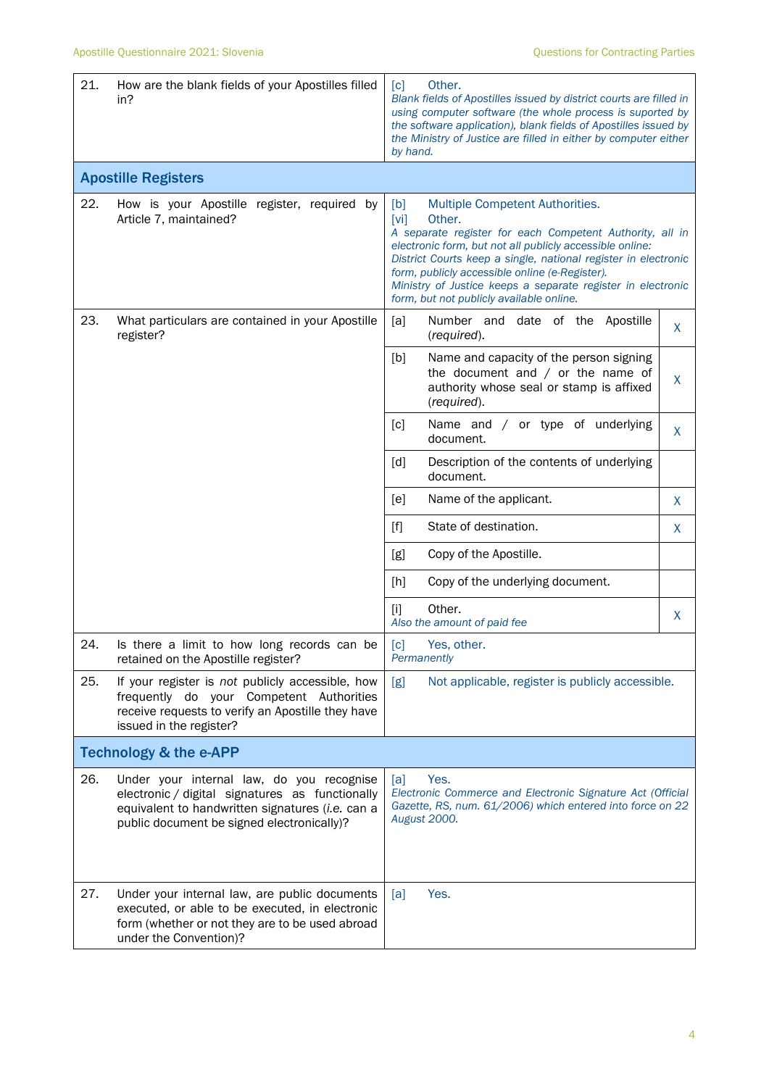| 21. | How are the blank fields of your Apostilles filled<br>in?                                                                                                                                      | Other.<br>[c]<br>Blank fields of Apostilles issued by district courts are filled in<br>using computer software (the whole process is suported by<br>the software application), blank fields of Apostilles issued by<br>the Ministry of Justice are filled in either by computer either<br>by hand.                                                                                                              |         |
|-----|------------------------------------------------------------------------------------------------------------------------------------------------------------------------------------------------|-----------------------------------------------------------------------------------------------------------------------------------------------------------------------------------------------------------------------------------------------------------------------------------------------------------------------------------------------------------------------------------------------------------------|---------|
|     | <b>Apostille Registers</b>                                                                                                                                                                     |                                                                                                                                                                                                                                                                                                                                                                                                                 |         |
| 22. | How is your Apostille register, required by<br>Article 7, maintained?                                                                                                                          | [b]<br>Multiple Competent Authorities.<br>[vi]<br>Other.<br>A separate register for each Competent Authority, all in<br>electronic form, but not all publicly accessible online:<br>District Courts keep a single, national register in electronic<br>form, publicly accessible online (e-Register).<br>Ministry of Justice keeps a separate register in electronic<br>form, but not publicly available online. |         |
| 23. | What particulars are contained in your Apostille<br>register?                                                                                                                                  | [a]<br>Number and date of the Apostille<br>(required).                                                                                                                                                                                                                                                                                                                                                          | X       |
|     |                                                                                                                                                                                                | [b]<br>Name and capacity of the person signing<br>the document and $/$ or the name of<br>authority whose seal or stamp is affixed<br>(required).                                                                                                                                                                                                                                                                | $\sf X$ |
|     |                                                                                                                                                                                                | Name and / or type of underlying<br>[c]<br>document.                                                                                                                                                                                                                                                                                                                                                            | $\sf X$ |
|     |                                                                                                                                                                                                | Description of the contents of underlying<br>[d]<br>document.                                                                                                                                                                                                                                                                                                                                                   |         |
|     |                                                                                                                                                                                                | Name of the applicant.<br>[e]                                                                                                                                                                                                                                                                                                                                                                                   | X       |
|     |                                                                                                                                                                                                | State of destination.<br>$[f]$                                                                                                                                                                                                                                                                                                                                                                                  | X       |
|     |                                                                                                                                                                                                | [g]<br>Copy of the Apostille.                                                                                                                                                                                                                                                                                                                                                                                   |         |
|     |                                                                                                                                                                                                | Copy of the underlying document.<br>[h]                                                                                                                                                                                                                                                                                                                                                                         |         |
|     |                                                                                                                                                                                                | Other.<br>$[1]$<br>Also the amount of paid fee                                                                                                                                                                                                                                                                                                                                                                  | X       |
| 24. | Is there a limit to how long records can be<br>retained on the Apostille register?                                                                                                             | $\lceil c \rceil$<br>Yes, other.<br>Permanently                                                                                                                                                                                                                                                                                                                                                                 |         |
| 25. | If your register is not publicly accessible, how<br>frequently do your Competent Authorities<br>receive requests to verify an Apostille they have<br>issued in the register?                   | [g]<br>Not applicable, register is publicly accessible.                                                                                                                                                                                                                                                                                                                                                         |         |
|     | <b>Technology &amp; the e-APP</b>                                                                                                                                                              |                                                                                                                                                                                                                                                                                                                                                                                                                 |         |
| 26. | Under your internal law, do you recognise<br>electronic / digital signatures as functionally<br>equivalent to handwritten signatures (i.e. can a<br>public document be signed electronically)? | Yes.<br>[a]<br>Electronic Commerce and Electronic Signature Act (Official<br>Gazette, RS, num. 61/2006) which entered into force on 22<br><b>August 2000.</b>                                                                                                                                                                                                                                                   |         |
| 27. | Under your internal law, are public documents<br>executed, or able to be executed, in electronic<br>form (whether or not they are to be used abroad<br>under the Convention)?                  | Yes.<br>[a]                                                                                                                                                                                                                                                                                                                                                                                                     |         |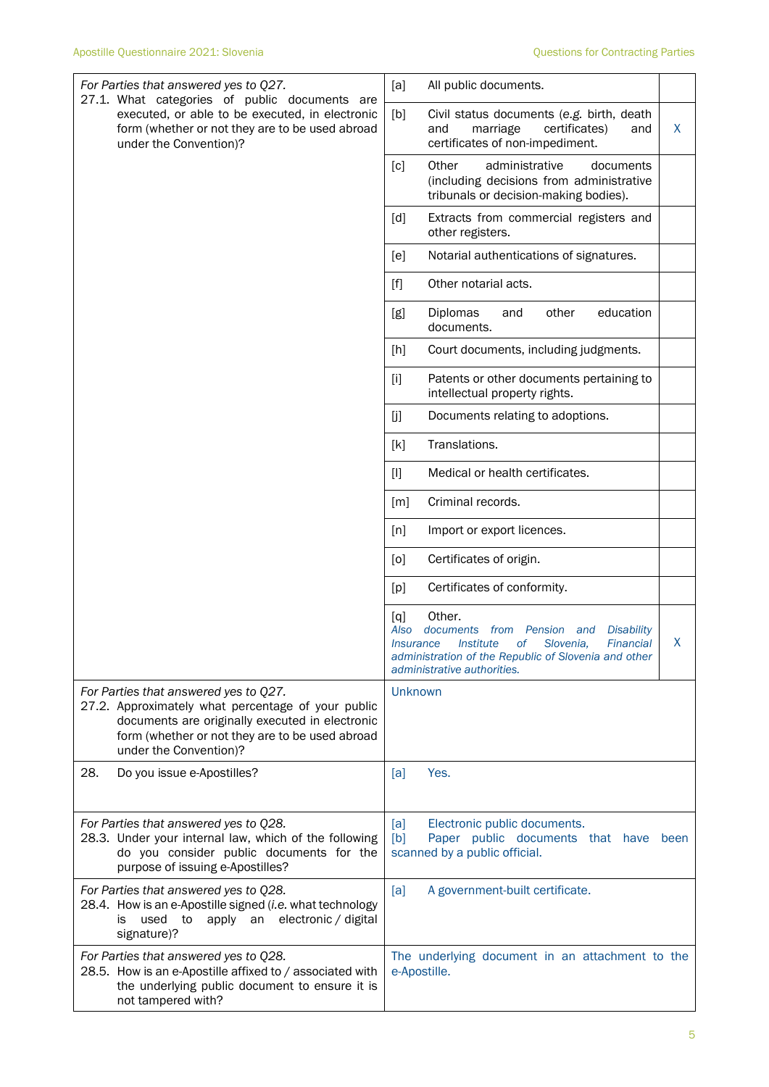| For Parties that answered yes to Q27.<br>27.1. What categories of public documents are<br>executed, or able to be executed, in electronic<br>form (whether or not they are to be used abroad<br>under the Convention)?      | [a]<br>All public documents.                                                                                                                                                                                                                                    |      |
|-----------------------------------------------------------------------------------------------------------------------------------------------------------------------------------------------------------------------------|-----------------------------------------------------------------------------------------------------------------------------------------------------------------------------------------------------------------------------------------------------------------|------|
|                                                                                                                                                                                                                             | [b]<br>Civil status documents (e.g. birth, death<br>certificates)<br>and<br>marriage<br>and<br>certificates of non-impediment.                                                                                                                                  | X    |
|                                                                                                                                                                                                                             | administrative<br>[c]<br>Other<br>documents<br>(including decisions from administrative<br>tribunals or decision-making bodies).                                                                                                                                |      |
|                                                                                                                                                                                                                             | [d]<br>Extracts from commercial registers and<br>other registers.                                                                                                                                                                                               |      |
|                                                                                                                                                                                                                             | Notarial authentications of signatures.<br>[e]                                                                                                                                                                                                                  |      |
|                                                                                                                                                                                                                             | Other notarial acts.<br>$[f]$                                                                                                                                                                                                                                   |      |
|                                                                                                                                                                                                                             | education<br>Diplomas<br>[g]<br>other<br>and<br>documents.                                                                                                                                                                                                      |      |
|                                                                                                                                                                                                                             | [h]<br>Court documents, including judgments.                                                                                                                                                                                                                    |      |
|                                                                                                                                                                                                                             | $[1]$<br>Patents or other documents pertaining to<br>intellectual property rights.                                                                                                                                                                              |      |
|                                                                                                                                                                                                                             | Documents relating to adoptions.<br>[j                                                                                                                                                                                                                          |      |
|                                                                                                                                                                                                                             | Translations.<br>[k]                                                                                                                                                                                                                                            |      |
|                                                                                                                                                                                                                             | $[1]$<br>Medical or health certificates.                                                                                                                                                                                                                        |      |
|                                                                                                                                                                                                                             | Criminal records.<br>[m]                                                                                                                                                                                                                                        |      |
|                                                                                                                                                                                                                             | Import or export licences.<br>[n]                                                                                                                                                                                                                               |      |
|                                                                                                                                                                                                                             | Certificates of origin.<br>[0]                                                                                                                                                                                                                                  |      |
|                                                                                                                                                                                                                             | Certificates of conformity.<br>[p]                                                                                                                                                                                                                              |      |
|                                                                                                                                                                                                                             | Other.<br>[q]<br>Also<br>documents from Pension<br><b>Disability</b><br>and<br><b>Institute</b><br>оf<br>Slovenia,<br><b>Financial</b><br><i><u><b>Insurance</b></u></i><br>administration of the Republic of Slovenia and other<br>administrative authorities. | X    |
| For Parties that answered yes to Q27.<br>27.2. Approximately what percentage of your public<br>documents are originally executed in electronic<br>form (whether or not they are to be used abroad<br>under the Convention)? | Unknown                                                                                                                                                                                                                                                         |      |
| 28.<br>Do you issue e-Apostilles?                                                                                                                                                                                           | Yes.<br>[a]                                                                                                                                                                                                                                                     |      |
| For Parties that answered yes to Q28.<br>28.3. Under your internal law, which of the following<br>do you consider public documents for the<br>purpose of issuing e-Apostilles?                                              | [a]<br>Electronic public documents.<br>[b]<br>Paper public documents that have<br>scanned by a public official.                                                                                                                                                 | been |
| For Parties that answered yes to Q28.<br>28.4. How is an e-Apostille signed (i.e. what technology<br>electronic / digital<br>used<br>to<br>apply an<br>is<br>signature)?                                                    | A government-built certificate.<br>[a]                                                                                                                                                                                                                          |      |
| For Parties that answered yes to Q28.<br>28.5. How is an e-Apostille affixed to / associated with<br>the underlying public document to ensure it is<br>not tampered with?                                                   | The underlying document in an attachment to the<br>e-Apostille.                                                                                                                                                                                                 |      |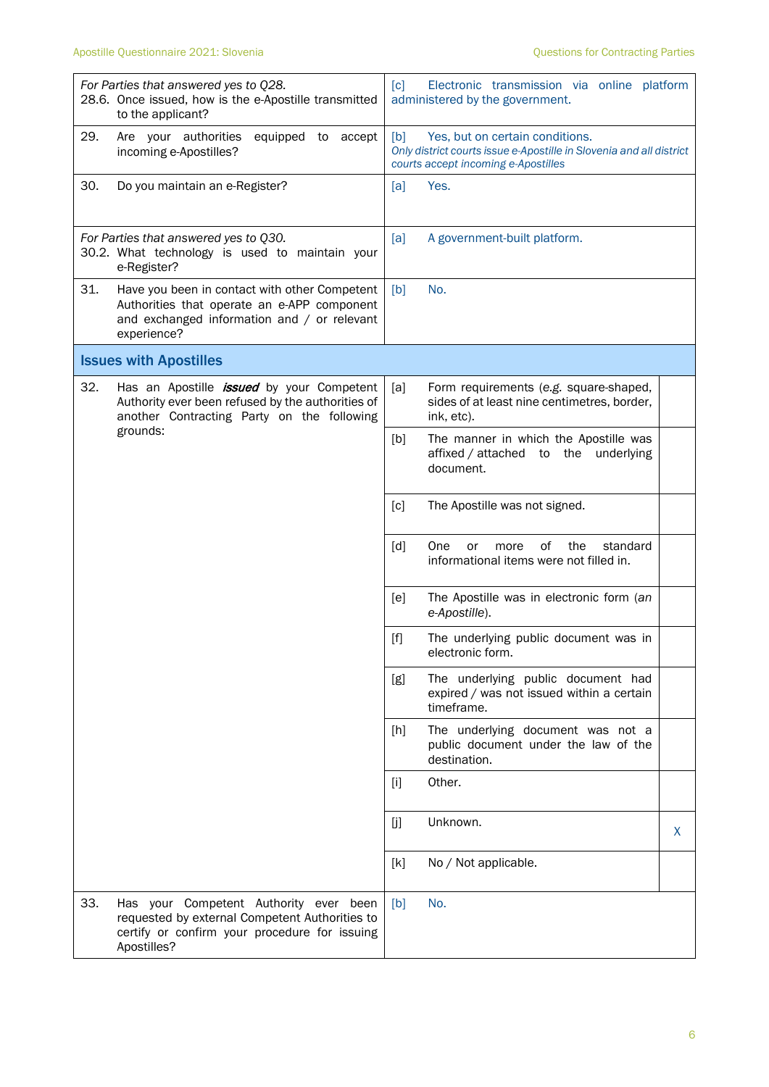|     | For Parties that answered yes to Q28.<br>28.6. Once issued, how is the e-Apostille transmitted<br>to the applicant?                                        | [c] | Electronic transmission via online platform<br>administered by the government.                                                                |   |
|-----|------------------------------------------------------------------------------------------------------------------------------------------------------------|-----|-----------------------------------------------------------------------------------------------------------------------------------------------|---|
| 29. | Are your authorities<br>equipped to accept<br>incoming e-Apostilles?                                                                                       | [b] | Yes, but on certain conditions.<br>Only district courts issue e-Apostille in Slovenia and all district<br>courts accept incoming e-Apostilles |   |
| 30. | Do you maintain an e-Register?                                                                                                                             | [a] | Yes.                                                                                                                                          |   |
|     | For Parties that answered yes to Q30.<br>30.2. What technology is used to maintain your<br>e-Register?                                                     | [a] | A government-built platform.                                                                                                                  |   |
| 31. | Have you been in contact with other Competent<br>Authorities that operate an e-APP component<br>and exchanged information and / or relevant<br>experience? | [b] | No.                                                                                                                                           |   |
|     | <b>Issues with Apostilles</b>                                                                                                                              |     |                                                                                                                                               |   |
| 32. | Has an Apostille <i>issued</i> by your Competent<br>Authority ever been refused by the authorities of<br>another Contracting Party on the following        | [a] | Form requirements (e.g. square-shaped,<br>sides of at least nine centimetres, border,<br>ink, etc).                                           |   |
|     | grounds:                                                                                                                                                   | [b] | The manner in which the Apostille was<br>affixed / attached to the<br>underlying<br>document.                                                 |   |
|     |                                                                                                                                                            | [c] | The Apostille was not signed.                                                                                                                 |   |
|     |                                                                                                                                                            | [d] | standard<br><b>One</b><br>οf<br>the<br>or<br>more<br>informational items were not filled in.                                                  |   |
|     |                                                                                                                                                            | [e] | The Apostille was in electronic form (an<br>e-Apostille).                                                                                     |   |
|     |                                                                                                                                                            |     | The underlying public document was in<br>electronic form.                                                                                     |   |
|     |                                                                                                                                                            | [g] | The underlying public document had<br>expired / was not issued within a certain<br>timeframe.                                                 |   |
|     |                                                                                                                                                            | [h] | The underlying document was not a<br>public document under the law of the<br>destination.                                                     |   |
|     |                                                                                                                                                            | [1] | Other.                                                                                                                                        |   |
|     |                                                                                                                                                            | [j] | Unknown.                                                                                                                                      | X |
|     |                                                                                                                                                            | [k] | No / Not applicable.                                                                                                                          |   |
| 33. | Has your Competent Authority ever been<br>requested by external Competent Authorities to<br>certify or confirm your procedure for issuing<br>Apostilles?   | [b] | No.                                                                                                                                           |   |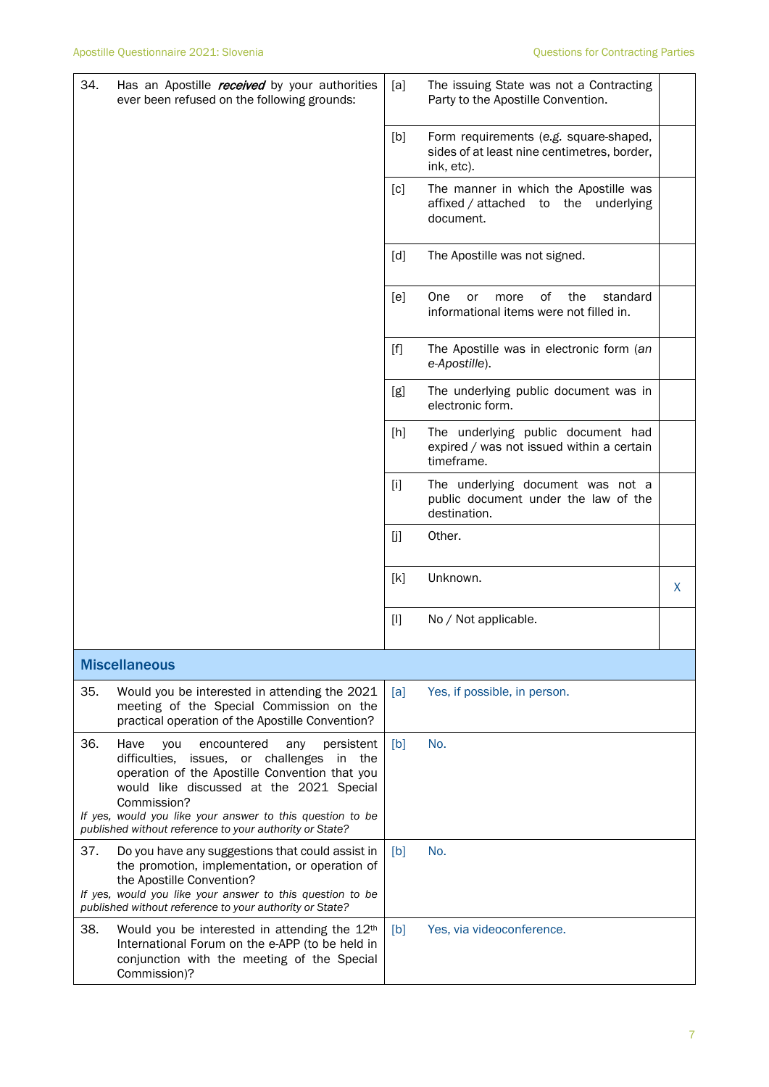| 34.<br>Has an Apostille <i>received</i> by your authorities<br>ever been refused on the following grounds:                                                                                                                                                                              |                                                         | [a]   | The issuing State was not a Contracting<br>Party to the Apostille Convention.                       |   |
|-----------------------------------------------------------------------------------------------------------------------------------------------------------------------------------------------------------------------------------------------------------------------------------------|---------------------------------------------------------|-------|-----------------------------------------------------------------------------------------------------|---|
|                                                                                                                                                                                                                                                                                         |                                                         |       |                                                                                                     |   |
|                                                                                                                                                                                                                                                                                         |                                                         | [b]   | Form requirements (e.g. square-shaped,<br>sides of at least nine centimetres, border,<br>ink, etc). |   |
|                                                                                                                                                                                                                                                                                         |                                                         | [c]   | The manner in which the Apostille was<br>affixed / attached to the underlying<br>document.          |   |
|                                                                                                                                                                                                                                                                                         |                                                         | [d]   | The Apostille was not signed.                                                                       |   |
|                                                                                                                                                                                                                                                                                         |                                                         | [e]   | One<br>0f<br>the<br>standard<br>or<br>more<br>informational items were not filled in.               |   |
|                                                                                                                                                                                                                                                                                         |                                                         | $[f]$ | The Apostille was in electronic form (an<br>e-Apostille).                                           |   |
|                                                                                                                                                                                                                                                                                         |                                                         | [g]   | The underlying public document was in<br>electronic form.                                           |   |
|                                                                                                                                                                                                                                                                                         |                                                         | [h]   | The underlying public document had<br>expired / was not issued within a certain<br>timeframe.       |   |
|                                                                                                                                                                                                                                                                                         |                                                         | $[1]$ | The underlying document was not a<br>public document under the law of the<br>destination.           |   |
|                                                                                                                                                                                                                                                                                         |                                                         | [j]   | Other.                                                                                              |   |
|                                                                                                                                                                                                                                                                                         |                                                         | [k]   | Unknown.                                                                                            | X |
|                                                                                                                                                                                                                                                                                         |                                                         | $[1]$ | No / Not applicable.                                                                                |   |
| <b>Miscellaneous</b>                                                                                                                                                                                                                                                                    |                                                         |       |                                                                                                     |   |
| 35.<br>Would you be interested in attending the 2021<br>meeting of the Special Commission on the<br>practical operation of the Apostille Convention?                                                                                                                                    |                                                         | [a]   | Yes, if possible, in person.                                                                        |   |
| 36.<br>Have<br>you<br>encountered<br>difficulties,<br>operation of the Apostille Convention that you<br>would like discussed at the 2021 Special<br>Commission?<br>If yes, would you like your answer to this question to be<br>published without reference to your authority or State? | persistent<br>any<br>issues, or challenges<br>in<br>the | [b]   | No.                                                                                                 |   |
| 37.<br>Do you have any suggestions that could assist in                                                                                                                                                                                                                                 |                                                         | [b]   | No.                                                                                                 |   |
| the promotion, implementation, or operation of<br>the Apostille Convention?<br>If yes, would you like your answer to this question to be<br>published without reference to your authority or State?                                                                                     |                                                         |       |                                                                                                     |   |
| 38.<br>Would you be interested in attending the 12 <sup>th</sup><br>International Forum on the e-APP (to be held in<br>conjunction with the meeting of the Special<br>Commission)?                                                                                                      |                                                         | [b]   | Yes, via videoconference.                                                                           |   |